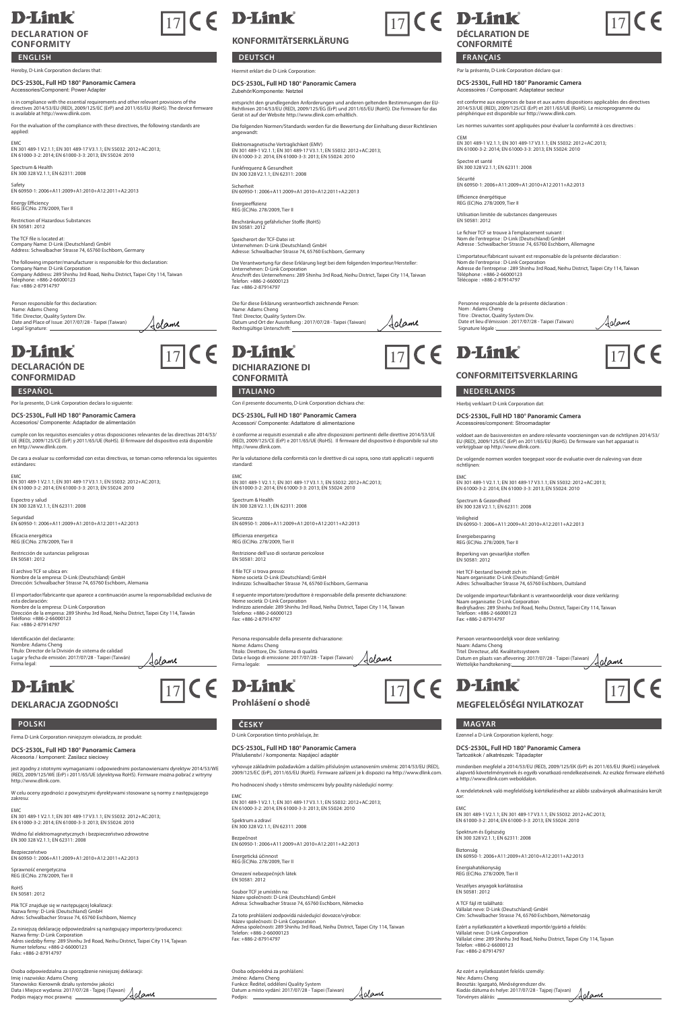# **D-Link**

## **DECLARATION OF CONFORMITY**

**ENGLISH**

eby, D-Link Corporation declares that:

**DCS-2530L, Full HD 180° Panoramic Camera** Accessories/Component: Power Adapter

is in compliance with the essential requirements and other relevant provisions of the<br>directives 2014/53/EU (RED), 2009/125/EC (ErP) and 2011/65/EU (RoHS). The device firmware<br>is available at http://www.dlink.com.

For the evaluation of the compliance with these directives, the following standards are applied:

EMC EN 301 489-1 V2.1.1; EN 301 489-17 V3.1.1; EN 55032: 2012+AC:2013; EN 61000-3-2: 2014; EN 61000-3-3: 2013; EN 55024: 2010

Spectrum & Health EN 300 328 V2.1.1; EN 62311: 2008

Safety EN 60950-1: 2006+A11:2009+A1:2010+A12:2011+A2:2013

Energy Efficiency REG (EC)No. 278/2009, Tier II Restriction of Hazardous Substances EN 50581: 2012

The TCF file is located at: Company Name: D-Link (Deutschland) GmbH Address: Schwalbacher Strasse 74, 65760 Eschborn, Germany

The following importer/manufacturer is responsible for this declaration: Company Name: D-Link Corporation Company Address: 289 Shinhu 3rd Road, Neihu District, Taipei City 114, Taiwan Telephone: +886-2-66000123 Fax: +886-2-87914797

Irlame

Person responsible for this declaration: Name: Adams Cheng Title: Director, Quality System Div. Date and Place of Issue: 2017/07/28 - Taipei (Taiwan) Legal Signature:

# **D-Link**

**DECLARACIÓN DE CONFORMIDAD**

### **ESPAÑOL ITALIANO NEDERLANDS** Por la presente, D-Link Corporation declara lo siguiente

**DCS-2530L, Full HD 180° Panoramic Camera**

Accesorios/ Componente: Adaptador de alimentación

cumple con los requisitos esenciales y otras disposiciones relevantes de las directivas 2014/53/ UE (RED), 2009/125/CE (ErP) y 2011/65/UE (RoHS). El firmware del dispositivo está disponible en http://www.dlink.com. De cara a evaluar su conformidad con estas directivas, se toman como referencia los sigu

estándares: EMC EN 301 489-1 V2.1.1; EN 301 489-17 V3.1.1; EN 55032: 2012+AC:2013; EN 61000-3-2: 2014; EN 61000-3-3: 2013; EN 55024: 2010

Espectro y salud EN 300 328 V2.1.1; EN 62311: 2008

Seguridad EN 60950-1: 2006+A11:2009+A1:2010+A12:2011+A2:2013

Eficacia energética REG (EC)No. 278/2009, Tier II Restricción de sustancias peligrosas EN 50581: 2012

El archivo TCF se ubica en: Nombre de la empresa: D-Link (Deutschland) GmbH Dirección: Schwalbacher Strasse 74, 65760 Eschborn, Alemania

El importador/fabricante que aparece a continuación asume la responsabilidad exclusiva de esta declaración:<br>Nombre de la empresa: D-Link Corporation<br>Dirección de la empresa: 289 Shinhu 3rd Road, Neihu District, Taipei City 114, Taiwán<br>Teléfono: +886-2-67914797<br>Fax: +886-2-87914797

Identificación del declarante: Nombre: Adams Cheng Título: Director de la División de sistema de calidad Lugar y fecha de emisión: 2017/07/28 - Taipei (Taiwán) Firma legal: Aclame

# **D-Link**

**DEKLARACJA ZGODNOŚCI**

Firma D-Link Corporation niniejszym oświadcza, że produkt: **DCS-2530L, Full HD 180° Panoramic Camera**

Akcesoria / komponent: Zasilacz sie

jest zgodny z istotnymi wymaganiami i odpowiednimi postanowieniami dyrektyw 2014/53/WE (RED), 2009/125/WE (ErP) i 2011/65/UE (dyrektywa RoHS). Firmware można pobrać z witryny http://www.dlink.com.

W celu oceny zgodności z powyższymi dyrektywami stosowane są normy z następującego zakresu: EMC EN 301 489-1 V2.1.1; EN 301 489-17 V3.1.1; EN 55032: 2012+AC:2013; EN 61000-3-2: 2014; EN 61000-3-3: 2013; EN 55024: 2010

Widmo fal elektromagnetycznych i bezpieczeństwo zdrowotne EN 300 328 V2.1.1; EN 62311: 2008 Bezpieczeństwo EN 60950-1: 2006+A11:2009+A1:2010+A12:2011+A2:2013

Sprawność energetyczna REG (EC)No. 278/2009, Tier II

RoHS EN 50581: 2012

Plik TCF znajduje się w następującej lokalizacji: Nazwa firmy: D-Link (Deutschland) GmbH Adres: Schwalbacher Strasse 74, 65760 Eschborn, Niemcy

Za niniejszą deklarację odpowiedzialni są następujący importerzy/producenci:<br>Nazwa firmy: D-Link Corporation<br>Adres siedziby firmy: 289 Shinhu 3rd Road, Neihu District, Taipei City 114, Tajwan<br>Numer telefonu: +886-2-6600012

Osoba odpowiedzialna za sporządzenie niniejszej deklaracji: Imię i nazwisko: Adams Cheng Stanowisko: Kierownik działu systemów jakości Data i Miejsce wydania: 2017/07/28 - Tajpej (Tajwan) Podpis mający moc prawną:

# $\boxed{17}$  (  $\in$  **D-Link**  $\boxed{17}$  (  $\in$  **D-Link**

## **KONFORMITÄTSERKLÄRUNG**

**DEUTSCH FRANÇAIS** Hiermit erklärt die D-Link Corporation:

Zubehör/Komponente: Netzteil

**DCS-2530L, Full HD 180° Panoramic Camera**

entspricht den grundlegenden Anforderungen und anderen geltenden Bestimmungen der EU-<br>Richtlinien 2014/53/EU (RED), 2009/125/EG (ErP) und 2011/65/EU (RoHS). Die Firmware für das<br>Gerät ist auf der Website http://www.dlink.c

Die folgenden Normen/Standards werden für die Bewertung der Einhaltung dieser Richtlinien angewandt:

Elektromagnetische Verträglichkeit (EMV) EN 301 489-1 V2.1.1; EN 301 489-17 V3.1.1; EN 55032: 2012+AC:2013; EN 61000-3-2: 2014; EN 61000-3-3: 2013; EN 55024: 2010

Funkfrequenz & Gesundheit EN 300 328 V2.1.1; EN 62311: 2008

Sicherheit EN 60950-1: 2006+A11:2009+A1:2010+A12:2011+A2:2013

Energieeffizienz REG (EC)No. 278/2009, Tier II

Beschränkung gefährlicher Stoffe (RoHS) EN 50581: 2012

Speicherort der TCF-Datei ist: Unternehmen: D-Link (Deutschland) GmbH Adresse: Schwalbacher Strasse 74, 65760 Eschborn, Germany

Die Verantwortung für diese Erklärung liegt bei dem folgenden Importeur/Hersteller:<br>Unternehmen: D-Link Corporation<br>Anschrift des Unternehmens: 289 Shinhu 3rd Road, Neihu District, Taipei City 114, Taiwar<br>Telefon: +886-2-8

Die für diese Erklärung verantwortlich zeichnende Person:<br>Name: Adams Cheng<br>Titel: Director, Quality System Div.<br>Datum und Ort der Ausstellung : 2017/07/28 - Taipei (Taiwan)<br>Rechtsgültige Unterschrift: Adame

# $\overline{17}$  (  $\in$  D-Link  $\overline{17}$  (  $\in$  D-Link  $\overline{17}$  (  $\in$

**DICHIARAZIONE DI CONFORMITÀ**

Con il presente documento, D-Link Corporation dichiara che

**DCS-2530L, Full HD 180° Panoramic Camera**

nte: Adattatore di alin

è conforme ai requisiti essenziali e alle altre disposizioni pertinenti delle direttive 2014/53/UE (RED), 2009/125/CE (ErP) e 2011/65/UE (RoHS). Il firmware del dispositivo è disponibile sul sito http://www.dlink.com.

Per la valutazione della conformità con le direttive di cui sopra, sono stati applicati i seq standard:

EMC EN 301 489-1 V2.1.1; EN 301 489-17 V3.1.1; EN 55032: 2012+AC:2013; EN 61000-3-2: 2014; EN 61000-3-3: 2013; EN 55024: 2010

Spectrum & Health EN 300 328 V2.1.1; EN 62311: 2008

Sicurezza EN 60950-1: 2006+A11:2009+A1:2010+A12:2011+A2:2013

Efficienza energetica REG (EC)No. 278/2009, Tier II

Restrizione dell'uso di sostanze pericolose EN 50581: 2012

Il file TCF si trova presso: Nome società: D-Link (Deutschland) GmbH Indirizzo: Schwalbacher Strasse 74, 65760 Eschborn, Germania

Il seguente importatore/produttore è responsabile della presente dichiarazione<br>Nome società: D-I ink Corporation Nome società: D-Link Corporation Indirizzo aziendale: 289 Shinhu 3rd Road, Neihu District, Taipei City 114, Taiwan Telefono: +886-2-66000123 Fax: +886-2-87914797

.<br>Persona resente dichiarazione:<br>. Persona responsabile<br>Nome: Adams Cheng Titolo: Direttore, Div. Sistema di qualità Data e luogo di emissione: 2017/07/28 - Taipei (Taiwan) Firma legale:

 $\boxed{17}$  (  $\in$  D-Link  $\boxed{17}$  (  $\in$  D-Link  $\boxed{17}$  (  $\in$ 

**Prohlášení o shodě MEGFELELŐSÉGI NYILATKOZAT**

**POLSKI ČESKY MAGYAR**

### D-Link Corporation tímto prohlašuje, že:

**DCS-2530L, Full HD 180° Panoramic Camera**

### nství / komponenta: Napájecí adapt

vyhovuje základním požadavkům a dalším příslušným ustanovením směrnic 2014/53/EU (RED), 2009/125/EC (ErP), 2011/65/EU (RoHS). Firmware zařízení je k dispozici na http://www.dlink.com.

Pro hodnocení shody s těmito směrnicemi byly použity následující normy:

EMC EN 301 489-1 V2.1.1; EN 301 489-17 V3.1.1; EN 55032: 2012+AC:2013; EN 61000-3-2: 2014; EN 61000-3-3: 2013; EN 55024: 2010

Spektrum a zdraví EN 300 328 V2.1.1; EN 62311: 2008

Bezpečnost EN 60950-1: 2006+A11:2009+A1:2010+A12:2011+A2:2013

Energetická účinnost REG (EC)No. 278/2009, Tier II Omezení nebezpečných látek EN 50581: 2012

Soubor TCF je umístěn na: Název společnosti: D-Link (Deutschland) GmbH Adresa: Schwalbacher Strasse 74, 65760 Eschborn, Německo

Za toto prohlášení zodpovídá následující dovozce/výrobce:<br>Název společnosti: D-Link Corporation<br>Adresa společnosti: 289 Shinhu 3rd Road, Neihu District, Taipei City 114, Taiwan<br>Telefon: +886-2-87914797<br>Fax: +886-2-87914797

Osoba odpovědná za prohlášení: Jméno: Adams Cheng Funkce: Ředitel, oddělení Quality System Datum a místo vydání: 2017/07/28 - Taipei (Taiwan) Aclame Podpis: \_





# $\epsilon$

Aclame

Par la présente, D-Link Corporation déclare que :

**DCS-2530L, Full HD 180° Panoramic Camera**

Accessoires / Composant: Adaptateur secteur

est conforme aux exigences de base et aux autres dispositions applicables des directives 2014/53/UE (RED), 2009/125/CE (ErP) et 2011/65/UE (RoHS). Le microprogramme du périphérique est disponible sur http://www.dlink.com.

Les normes suivantes sont appliquées pour évaluer la conformité à ces directives :

CEM EN 301 489-1 V2.1.1; EN 301 489-17 V3.1.1; EN 55032: 2012+AC:2013; EN 61000-3-2: 2014; EN 61000-3-3: 2013; EN 55024: 2010

Spectre et santé EN 300 328 V2.1.1; EN 62311: 2008

Utilisation limitée de substances dangereuses EN 50581: 2012

Hierbij verklaart D-Link Corporation dat: **DCS-2530L, Full HD 180° Panoramic Camera** Accessoires/component: Stroomadapter

Signature légale :

**CONFORMITEITSVERKLARING**

Personne responsable de la présente déclaration : Nom : Adams Cheng Titre : Director, Quality System Div. Date et lieu d'émission : 2017/07/28 - Taipei (Taïwan)

Spectrum & Gezondheid EN 300 328 V2.1.1; EN 62311: 2008

Energiebesparing REG (EC)No. 278/2009, Tier II Beperking van gevaarlijke stoffen EN 50581: 2012

Persoon verantwoord<br>Naam: Adams Cheng

Wettelijke handtekening:

Sécurité EN 60950-1: 2006+A11:2009+A1:2010+A12:2011+A2:2013

Le fichier TCF se trouve à l'emplacement suivant : Nom de l'entreprise : D-Link (Deutschland) GmbH Adresse : Schwalbacher Strasse 74, 65760 Eschborn, Allemagne

L'importateur/Abricant suivant est responsable de la présente déclaration :<br>Nom de l'entreprise : D-Link Corporation<br>Adresse de l'entreprise : 289 Shinhu 3rd Road, Neihu District, Taipei City 114, Taïwar<br>Téléchone : +886-2

voldoet aan de basisvereisten en andere relevante voorzieningen van de richtlijnen 2014/53,<br>EU (RED), 2009/125/EC (ErP) en 2011/65/EU (RoHS). De firmware van het apparaat is<br>verkrijgbaar op http://www.dlink.com. De volgende normen worden toegepast voor de evaluatie over de naleving van deze richtlijnen:

EMC EN 301 489-1 V2.1.1; EN 301 489-17 V3.1.1; EN 55032: 2012+AC:2013; EN 61000-3-2: 2014; EN 61000-3-3: 2013; EN 55024: 2010

Veiligheid EN 60950-1: 2006+A11:2009+A1:2010+A12:2011+A2:2013

Het TCF-bestand bevindt zich in: Naam organisatie: D-Link (Deutschland) GmbH Adres: Schwalbacher Strasse 74, 65760 Eschborn, Duitsland

Ezennel a D-Link Corporation kijelenti, hogy: **DCS-2530L, Full HD 180° Panoramic Camera** Tartozékok / alkatrészek: Tápadapter

Spektrum és Egészség EN 300 328 V2.1.1; EN 62311: 2008

Energiahatékonyság REG (EC)No. 278/2009, Tier II Veszélyes anyagok korlátozása EN 50581: 2012

De volgende importeur/fabrikant is verantwoordelijk voor deze verklaring<br>Naam organisatie: D-Link Corporation<br>Bedrijfsadres: 289 Shinhu 3rd Road, Neihu District, Taipei City 114, Taiwan<br>Telefoon: +886-2-650000123<br>Fax: +886

rdelijk voor deze verklaring

Titel: Directeur, afd. Kwaliteitssysteem Datum en plaats van aflevering: 2017/07/28 - Taipei (Taiwan)

mindenben megfelel a 2014/53/EU (RED), 2009/125/EK (ErP) és 2011/65/EU (RoHS) irányelvek alapvető követelményeinek és egyéb vonatkozó rendelkezéseinek. Az eszköz firmware elérhető a http://www.dlink.com weboldalon. A rendeleteknek való megfelelőség kiértékeléséhez az alábbi szabványok alkalmazására került sor:

<u>Adame</u>

EMC EN 301 489-1 V2.1.1; EN 301 489-17 V3.1.1; EN 55032: 2012+AC:2013; EN 61000-3-2: 2014; EN 61000-3-3: 2013; EN 55024: 2010

Biztonság EN 60950-1: 2006+A11:2009+A1:2010+A12:2011+A2:2013

A TCF fájl itt található: Vállalat neve: D-Link (Deutschland) GmbH Cím: Schwalbacher Strasse 74, 65760 Eschborn, Németország

Az ezért a nyilatkozatért felelős személy: Név: Adams Cheng Beosztás: Igazgató, Minőségrendszer div. Kiadás dátuma és helye: 2017/07/28 - Tajpej (Tajvan) Törvényes aláírás:

Ezért a nyilatkozatért a következő importőr/gyártó a felelős:<br>Vállalat neve: D-Link Corporation<br>Vállalat címe: 289 Shinhu 3rd Road, Neihu District, Taipei City 114, Tajvar<br>Telefon: +886-2-67914797<br>Fax: +886-2-87914797

Efficience énergétique REG (EC)No. 278/2009, Tier II